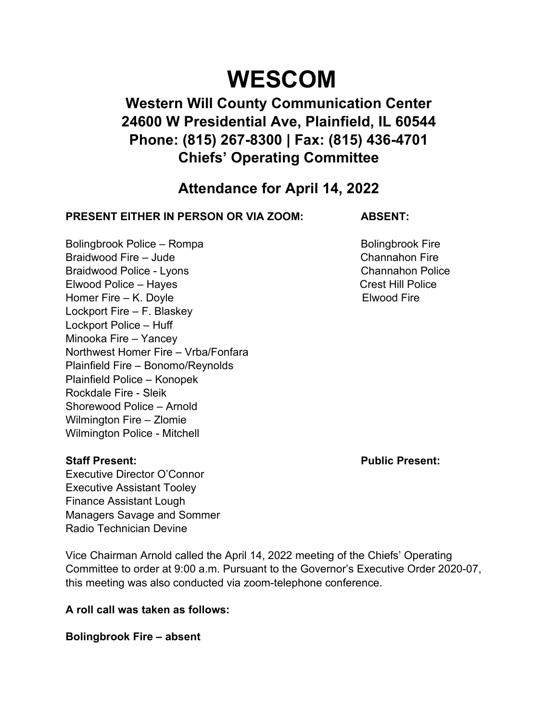# **WESCOM**

# **Western Will County Communication Center 24600 W Presidential Ave, Plainfield, IL 60544 Phone: (815) 267-8300 | Fax: (815) 436-4701 Chiefs' Operating Committee**

## **Attendance for April 14, 2022**

### **PRESENT EITHER IN PERSON OR VIA ZOOM: ABSENT:**

Bolingbrook Police – Rompa Bolingbrook Fire Braidwood Fire – Jude Channahon Fire Channahon Fire Braidwood Police - Lyons **Channahon Police** Elwood Police – Hayes Crest Hill Police Homer Fire – K. Doyle **Elwood Fire** Lockport Fire – F. Blaskey Lockport Police – Huff Minooka Fire – Yancey Northwest Homer Fire – Vrba/Fonfara Plainfield Fire – Bonomo/Reynolds Plainfield Police – Konopek Rockdale Fire - Sleik Shorewood Police – Arnold Wilmington Fire – Zlomie Wilmington Police - Mitchell

Executive Director O'Connor Executive Assistant Tooley Finance Assistant Lough Managers Savage and Sommer Radio Technician Devine

Vice Chairman Arnold called the April 14, 2022 meeting of the Chiefs' Operating Committee to order at 9:00 a.m. Pursuant to the Governor's Executive Order 2020-07, this meeting was also conducted via zoom-telephone conference.

**A roll call was taken as follows:** 

**Bolingbrook Fire – absent** 

**Staff Present: Public Present:**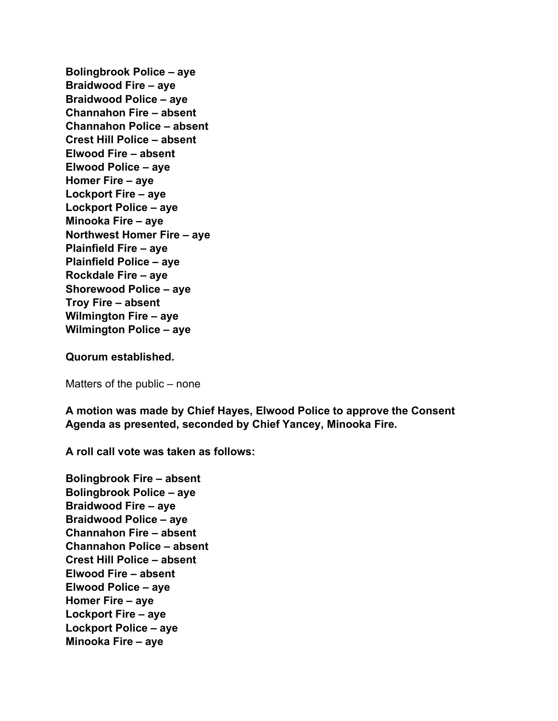**Bolingbrook Police – aye Braidwood Fire – aye Braidwood Police – aye Channahon Fire – absent Channahon Police – absent Crest Hill Police – absent Elwood Fire – absent Elwood Police – aye Homer Fire – aye Lockport Fire – aye Lockport Police – aye Minooka Fire – aye Northwest Homer Fire – aye Plainfield Fire – aye Plainfield Police – aye Rockdale Fire – aye Shorewood Police – aye Troy Fire – absent Wilmington Fire – aye Wilmington Police – aye** 

**Quorum established.** 

Matters of the public – none

**A motion was made by Chief Hayes, Elwood Police to approve the Consent Agenda as presented, seconded by Chief Yancey, Minooka Fire.** 

**A roll call vote was taken as follows:** 

**Bolingbrook Fire – absent Bolingbrook Police – aye Braidwood Fire – aye Braidwood Police – aye Channahon Fire – absent Channahon Police – absent Crest Hill Police – absent Elwood Fire – absent Elwood Police – aye Homer Fire – aye Lockport Fire – aye Lockport Police – aye Minooka Fire – aye**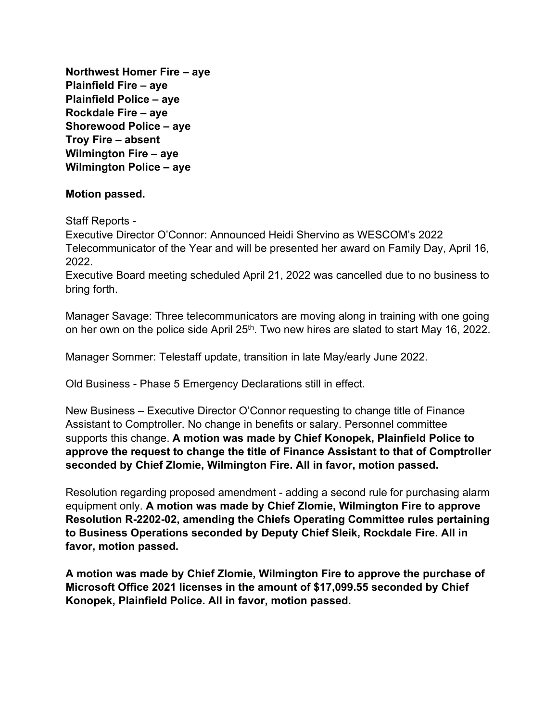**Northwest Homer Fire – aye Plainfield Fire – aye Plainfield Police – aye Rockdale Fire – aye Shorewood Police – aye Troy Fire – absent Wilmington Fire – aye Wilmington Police – aye** 

#### **Motion passed.**

Staff Reports -

Executive Director O'Connor: Announced Heidi Shervino as WESCOM's 2022 Telecommunicator of the Year and will be presented her award on Family Day, April 16, 2022.

Executive Board meeting scheduled April 21, 2022 was cancelled due to no business to bring forth.

Manager Savage: Three telecommunicators are moving along in training with one going on her own on the police side April 25<sup>th</sup>. Two new hires are slated to start May 16, 2022.

Manager Sommer: Telestaff update, transition in late May/early June 2022.

Old Business - Phase 5 Emergency Declarations still in effect.

New Business – Executive Director O'Connor requesting to change title of Finance Assistant to Comptroller. No change in benefits or salary. Personnel committee supports this change. **A motion was made by Chief Konopek, Plainfield Police to approve the request to change the title of Finance Assistant to that of Comptroller seconded by Chief Zlomie, Wilmington Fire. All in favor, motion passed.** 

Resolution regarding proposed amendment - adding a second rule for purchasing alarm equipment only. **A motion was made by Chief Zlomie, Wilmington Fire to approve Resolution R-2202-02, amending the Chiefs Operating Committee rules pertaining to Business Operations seconded by Deputy Chief Sleik, Rockdale Fire. All in favor, motion passed.** 

**A motion was made by Chief Zlomie, Wilmington Fire to approve the purchase of Microsoft Office 2021 licenses in the amount of \$17,099.55 seconded by Chief Konopek, Plainfield Police. All in favor, motion passed.**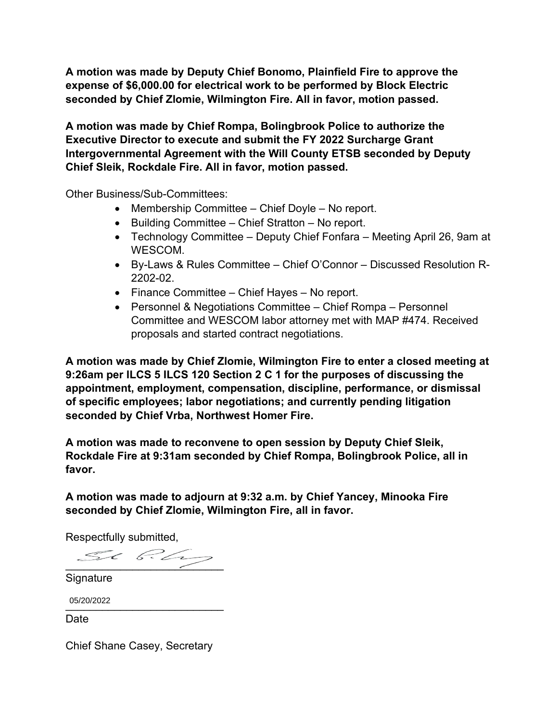**A motion was made by Deputy Chief Bonomo, Plainfield Fire to approve the expense of \$6,000.00 for electrical work to be performed by Block Electric seconded by Chief Zlomie, Wilmington Fire. All in favor, motion passed.** 

**A motion was made by Chief Rompa, Bolingbrook Police to authorize the Executive Director to execute and submit the FY 2022 Surcharge Grant Intergovernmental Agreement with the Will County ETSB seconded by Deputy Chief Sleik, Rockdale Fire. All in favor, motion passed.** 

Other Business/Sub-Committees:

- Membership Committee Chief Doyle No report.
- $\bullet$  Building Committee Chief Stratton No report.
- Technology Committee Deputy Chief Fonfara Meeting April 26, 9am at WESCOM.
- By-Laws & Rules Committee Chief O'Connor Discussed Resolution R-2202-02.
- Finance Committee Chief Hayes No report.
- Personnel & Negotiations Committee Chief Rompa Personnel Committee and WESCOM labor attorney met with MAP #474. Received proposals and started contract negotiations.

**A motion was made by Chief Zlomie, Wilmington Fire to enter a closed meeting at 9:26am per ILCS 5 ILCS 120 Section 2 C 1 for the purposes of discussing the appointment, employment, compensation, discipline, performance, or dismissal of specific employees; labor negotiations; and currently pending litigation seconded by Chief Vrba, Northwest Homer Fire.** 

**A motion was made to reconvene to open session by Deputy Chief Sleik, Rockdale Fire at 9:31am seconded by Chief Rompa, Bolingbrook Police, all in favor.** 

**A motion was made to adjourn at 9:32 a.m. by Chief Yancey, Minooka Fire seconded by Chief Zlomie, Wilmington Fire, all in favor.** 

Respectfully submitted,

 $\mathcal{L}$  big

Signature

USIZUIZUZZ 05/20/2022

Date

Chief Shane Casey, Secretary